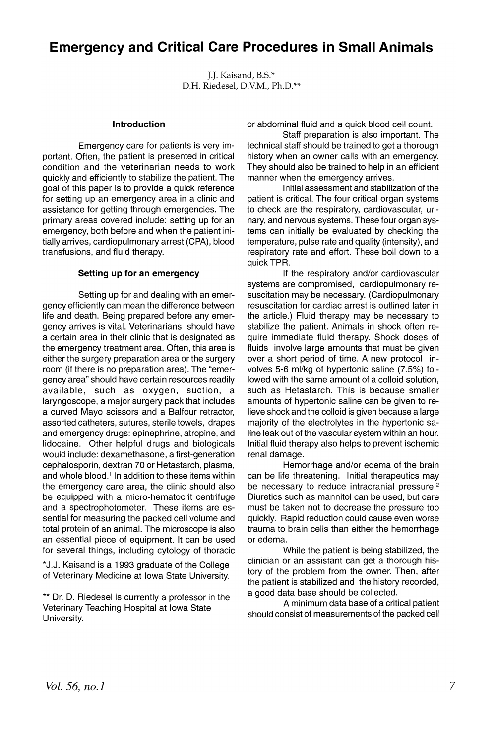# **Emergency and Critical Care Procedures in Small Animals**

J.J. Kaisand, B.S.\* D.H. Riedesel, D.V.M., Ph.D.\*\*

#### **Introduction**

Emergency care for patients is very important. Often, the patient is presented in critical condition and the veterinarian needs to work quickly and efficiently to stabilize the patient. The goal of this paper is to provide a quick reference for setting up an emergency area in a clinic and assistance for getting through emergencies. The primary areas covered include: setting up for an emergency, both before and when the patient initially arrives, cardiopulmonary arrest (CPA), blood transfusions, and fluid therapy.

#### **Setting up for an emergency**

Setting up for and dealing with an emergency efficiently can mean the difference between life and death. Being prepared before any emergency arrives is vital. Veterinarians should have a certain area in their clinic that is designated as the emergency treatment area. Often, this area is either the surgery preparation area or the surgery room (if there is no preparation area). The "emergency area" should have certain resources readily available, such as oxygen, suction, a laryngoscope, a major surgery pack that includes a curved Mayo scissors and a Balfour retractor, assorted catheters, sutures, sterile towels, drapes and emergency drugs: epinephrine, atropine, and lidocaine. Other helpful drugs and biologicals would include: dexamethasone, a first-generation cephalosporin, dextran 70 or Hetastarch, plasma, and whole blood.<sup>1</sup> In addition to these items within the emergency care area, the clinic should also be equipped with a micro-hematocrit centrifuge and a spectrophotometer. These items are essential for measuring the packed cell volume and total protein of an animal. The microscope is also an essential piece of equipment. It can be used for several things, including cytology of thoracic

\*J.J. Kaisand is a 1993 graduate of the College of Veterinary Medicine at Iowa State University.

\*\* Dr. D. Riedesel is currently a professor in the Veterinary Teaching Hospital at Iowa State University.

or abdorninal fluid and a quick blood cell count.

Staff preparation is also important. The technical staff should be trained to get a thorough history when an owner calls with an emergency. They should also be trained to help in an efficient manner when the emergency arrives.

Initial assessment and stabilization of the patient is critical. The four critical organ systems to check are the respiratory, cardiovascular, urinary, and nervous systems. These four organ systems can initially be evaluated by checking the temperature, pulse rate and quality (intensity), and respiratory rate and effort. These boil down to a quick TPR.

If the respiratory and/or cardiovascular systems are compromised, cardiopulmonary resuscitation may be necessary. (Cardiopulmonary resuscitation for cardiac arrest is outlined later in the article.) Fluid therapy may be necessary to stabilize the patient. Animals in shock often require immediate fluid therapy. Shock doses of fluids involve large amounts that must be given over a short period of time. A new protocol involves 5-6 ml/kg of hypertonic saline (7.5%) followed with the same amount of a colloid solution, such as Hetastarch. This is because smaller amounts of hypertonic saline can be given to relieve shock and the colloid is given because a large majority of the electrolytes in the hypertonic saline leak out of the vascular system within an hour. Initial fluid therapy also helps to prevent ischemic renal damage.

Hemorrhage and/or edema of the brain can be life threatening. Initial therapeutics may be necessary to reduce intracranial pressure.<sup>2</sup> Diuretics such as mannitol can be used, but care must be taken not to decrease the pressure too quickly. Rapid reduction could cause even worse trauma to brain cells than either the hemorrhage or edema.

While the patient is being stabilized, the clinician or an assistant can get a thorough history of the problem from the owner. Then, after the patient is stabilized and the history recorded, a good data base should be collected.

A minimum data base of a critical patient should consist of measurements of the packed cell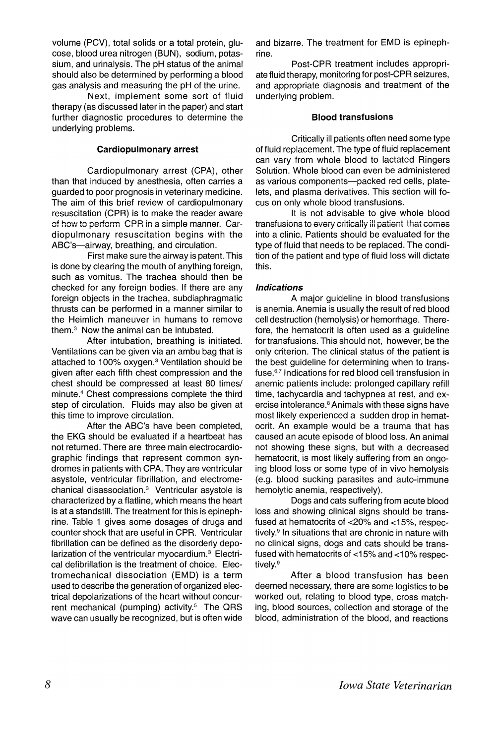volume (PCV), total solids or a total protein, glucose, blood urea nitrogen (BUN), sodium, potassium, and urinalysis. The pH status of the animal should also be determined by performing a blood gas analysis and measuring the pH of the urine.

Next, implement some sort of fluid therapy (as discussed later in the paper) and start further diagnostic procedures to determine the underlying problems.

#### **Cardiopulmonary arrest**

Cardiopulmonary arrest (CPA), other than that induced by anesthesia, often carries a guarded to poor prognosis in veterinary medicine. The aim of this brief review of cardiopulmonary resuscitation (CPR) is to make the reader aware of how to perform CPR in a simple manner. Cardiopulmonary resuscitation begins with the ABC's-airway, breathing, and circulation.

First make sure the airway is patent. This is done by clearing the mouth of anything foreign, such as vomitus. The trachea should then be checked for any foreign bodies. If there are any foreign objects in the trachea, subdiaphragmatic thrusts can be performed in a manner similar to the Heimlich maneuver in humans to remove them. $3$  Now the animal can be intubated.

After intubation, breathing is initiated. Ventilations can be given via an ambu bag that is attached to  $100\%$  oxygen.<sup>3</sup> Ventilation should be given after each fifth chest compression and the chest should be compressed at least 80 times/ minute.<sup>4</sup> Chest compressions complete the third step of circulation. Fluids may also be given at this time to improve circulation.

After the ABC's have been completed, the EKG should be evaluated if a heartbeat has not returned. There are three main electrocardiographic findings that represent common syndromes in patients with CPA. They are ventricular asystole, ventricular fibrillation, and electromechanical disassociation.<sup>3</sup> Ventricular asystole is characterized by a flatline, which means the heart is at a standstill. The treatment for this is epinephrine. Table 1 gives some dosages of drugs and counter shock that are useful in CPR. Ventricular fibrillation can be defined as the disorderly depolarization of the ventricular myocardium.<sup>3</sup> Electrical defibrillation is the treatment of choice. Electromechanical dissociation (EMD) is a term used to describe the generation of organized electrical depolarizations of the heart without concurrent mechanical (pumping) activity.<sup>5</sup> The QRS wave can usually be recognized, but is often wide and bizarre. The treatment for EMD is epinephrine.

Post-CPR treatment includes appropriate fluid therapy, monitoring for post-CPR seizures, and appropriate diagnosis and treatment of the underlying problem.

## **Blood transfusions**

Critically ill patients often need some type of fluid replacement. The type of fluid replacement can vary from whole blood to lactated Ringers Solution. Whole blood can even be administered as various components--packed red cells, platelets, and plasma derivatives. This section will focus on only whole blood transfusions.

It is not advisable to give whole blood transfusions to every critically ill patient that comes into a clinic. Patients should be evaluated for the type of fluid that needs to be replaced. The condition of the patient and type of fluid loss will dictate this.

## **Indications**

A major guideline in blood transfusions is anemia. Anemia is usually the result of red blood cell destruction (hemolysis) or hemorrhage. Therefore, the hematocrit is often used as a guideline for transfusions. This should not, however, be the only criterion. The clinical status of the patient is the best guideline for determining when to transfuse.<sup>6,7</sup> Indications for red blood cell transfusion in anemic patients include: prolonged capillary refill time, tachycardia and tachypnea at rest, and exercise intolerance.<sup>8</sup> Animals with these signs have most likely experienced a sudden drop in hematocrit. An example would be a trauma that has caused an acute episode of blood loss. An animal not showing these signs, but with a decreased hematocrit, is most likely suffering from an ongoing blood loss or some type of in vivo hemolysis (e.g. blood sucking parasites and auto-immune hemolytic anemia, respectively).

Dogs and cats suffering from acute blood loss and showing clinical signs should be transfused at hematocrits of <20% and <15%, respectively.9 In situations that are chronic in nature with no clinical signs, dogs and cats should be transfused with hematocrits of  $<$ 15% and  $<$ 10% respectively.<sup>9</sup>

After a blood transfusion has been deemed necessary, there are some logistics to be worked out, relating to blood type, cross matching, blood sources, collection and storage of the blood, administration of the blood, and reactions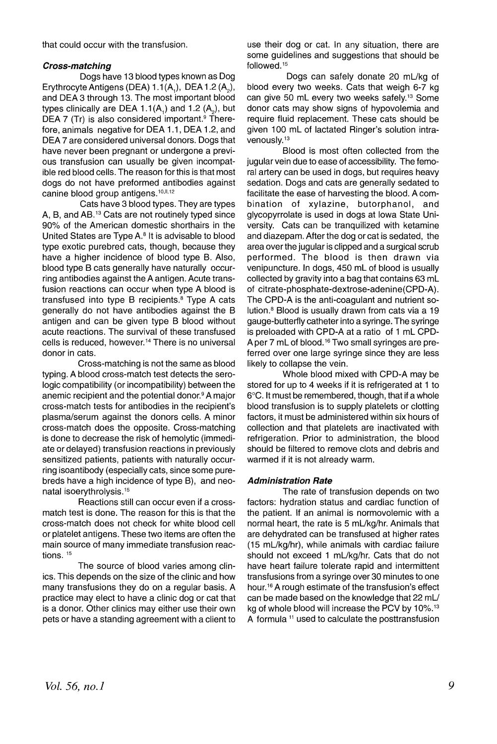that could occur with the transfusion.

### **Cross-matching**

Dogs have 13 blood types known as Dog Erythrocyte Antigens (DEA)  $1.1(A_1)$ , DEA  $1.2(A_2)$ , and DEA 3 through 13. The most important blood types clinically are DEA 1.1(A<sub>1</sub>) and 1.2 (A<sub>2</sub>), but DEA 7 (Tr) is also considered important. $9$  Therefore, animals negative for DEA 1.1, DEA 1.2, and DEA 7 are considered universal donors. Dogs that have never been pregnant or undergone a previous transfusion can usually be given incompatible red blood cells. The reason for this is that most dogs do not have preformed antibodies against canine blood group antigens.<sup>10, 11,12</sup>

Cats have 3 blood types. They are types A, B, and AB.13 Cats are not routinely typed since 90% of the American domestic shorthairs in the United States are Type A.<sup>8</sup> It is advisable to blood type exotic purebred cats, though, because they have a higher incidence of blood type B. Also, blood type B cats generally have naturally occurring antibodies against the A antigen. Acute transfusion reactions can occur when type A blood is transfused into type B recipients.8 Type A cats generally do not have antibodies against the B antigen and can be given type B blood without acute reactions. The survival of these transfused cells is reduced, however.<sup>14</sup> There is no universal donor in cats.

Cross-matching is not the same as blood typing. A blood cross-match test detects the serologic compatibility (or incompatibility) between the anemic recipient and the potential donor.<sup>9</sup> A major cross-match tests for antibodies in the recipient's plasma/serum against the donors cells. A minor cross-match does the opposite. Cross-matching is done to decrease the risk of hemolytic (immediate or delayed) transfusion reactions in previously sensitized patients, patients with naturally occurring isoantibody (especially cats, since some purebreds have a high incidence of type B), and neonatal isoerythrolysis.15

Reactions still can occur even if a crossmatch test is done. The reason for this is that the cross-match does not check for white blood cell or platelet antigens. These two items are often the main source of many immediate transfusion reactions.<sup>15</sup>

The source of blood varies among clinics. This depends on the size of the clinic and how many transfusions they do on a regular basis. A practice may elect to have a clinic dog or cat that is a donor. Other clinics may either use their own pets or have a standing agreement with a client to use their dog or cat. In any situation, there are some guidelines and suggestions that should be followed. <sup>15</sup>

Dogs can safely donate 20 mUkg of blood every two weeks. Cats that weigh 6-7 kg can give 50 mL every two weeks safely.<sup>13</sup> Some donor cats may show signs of hypovolemia and require fluid replacement. These cats should be given 100 mL of lactated Ringer's solution intravenously.13

Blood is most often collected 'from the jugular vein due to ease of accessibility. The femoral artery can be used in dogs, but requires heavy sedation. Dogs and cats are generally sedated to facilitate the ease of harvesting the blood. A combination of xylazine, butorphanol, and glycopyrrolate is used in dogs at Iowa State University. Cats can be tranquilized with ketamine and diazepam. After the dog or cat is sedated, the area over the jugular is clipped and a surgical scrub performed. The blood is then drawn via venipuncture. In dogs, 450 mL of blood is usually collected by gravity into a bag that contains 63 mL of citrate-phosphate-dextrose-adenine(CPD-A). The CPD-A is the anti-coagulant and nutrient solution.<sup>8</sup> Blood is usually drawn from cats via a 19 gauge-butterfly catheter into a syringe. The syringe is preloaded with CPD-A at a ratio of 1 mL CPD-A per 7 mL of blood. <sup>16</sup> Two small syringes are preferred over one large syringe since they are less likely to collapse the vein.

Whole blood mixed with CPD-A may be stored for up to 4 weeks if it is refrigerated at 1 to 6°C. It must be remembered, though, that if a whole blood transfusion is to supply platelets or clotting factors, it must be administered within six hours of collection and that platelets are inactivated with refrigeration. Prior to administration, the blood should be filtered to remove clots and debris and warmed if it is not already warm.

## **Administration Rate**

The rate of transfusion depends on two factors: hydration status and cardiac function of the patient. If an animal is normovolemic with a normal heart, the rate is 5 mL/kg/hr. Animals that are dehydrated can be transfused at higher rates (15 mUkg/hr), while animals with cardiac failure should not exceed 1 mL/kg/hr. Cats that do not have heart failure tolerate rapid and intermittent transfusions from a syringe over 30 minutes to one hour.16 A rough estimate of the transfusion's effect can be made based on the knowledge that 22 *mU* kg of whole blood will increase the PCV by 10%. $^{\rm 13}$ A formula <sup>11</sup> used to calculate the posttransfusion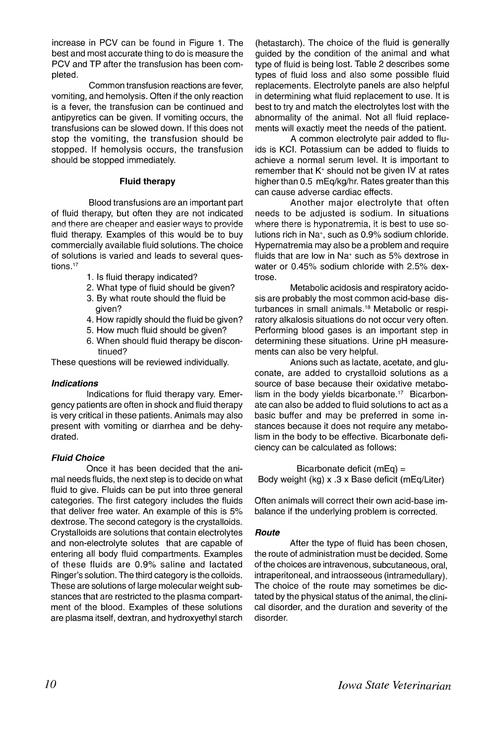increase in PCV can be found in Figure 1. The best and most accurate thing to do is measure the PCV and TP after the transfusion has been completed.

Common transfusion reactions are fever, vomiting, and hemolysis. Often if the only reaction is a fever, the transfusion can be continued and antipyretics can be given. If vomiting occurs, the transfusions can be slowed down. If this does not stop the vomiting, the transfusion should be stopped. If hemolysis occurs, the transfusion should be stopped immediately.

## Fluid therapy

Blood transfusions are an important part of fluid therapy, but often they are not indicated and there are cheaper and easier ways to provide fluid therapy. Examples of this would be to buy commercially available fluid solutions. The choice of solutions is varied and leads to several questions.<sup>17</sup>

- 1. Is fluid therapy indicated?
- 2. What type of fluid should be given?
- 3. By what route should the fluid be given?
- 4. How rapidly should the fluid be given?
- 5. How much fluid should be given?
- 6. When should fluid therapy be discontinued?

These questions will be reviewed individually.

## Indications

Indications for fluid therapy vary. Emergency patients are often in shock and fluid therapy is very critical in these patients. Animals may also present with vomiting or diarrhea and be dehydrated.

## Fluid Choice

Once it has been decided that the animal needs fluids, the next step is to decide on what fluid to give. Fluids can be put into three general categories. The first category includes the fluids that deliver free water. An example of this is 5% dextrose. The second category is the crystalloids. Crystalloids are solutions that contain electrolytes and non-electrolyte solutes that are capable of entering all body fluid compartments. Examples of these fluids are 0.9% saline and lactated Ringer's solution. The third category is the colloids. These are solutions of large molecular weight substances that are restricted to the plasma compartment of the blood. Examples of these solutions are plasma itself, dextran, and hydroxyethyl starch

(hetastarch). The choice of the fluid is generally guided by the condition of the animal and what type of fluid is being lost. Table 2 describes some types of fluid loss and also some possible fluid replacements. Electrolyte panels are also helpful in determining what fluid replacement to use. It is best to try and match the electrolytes lost with the abnormality of the animal. Not all fluid replacements will exactly meet the needs of the patient.

A common electrolyte pair added to fluids is KCI. Potassium can be added to fluids to achieve a normal serum level. It is important to remember that  $K^+$  should not be given IV at rates higher than 0.5 mEq/kg/hr. Rates greater than this can cause adverse cardiac effects.

Another major electrolyte that often needs to be adjusted is sodium. In situations where there is hyponatremia, it is best to use solutions rich in Na+, such as 0.9% sodium chloride. Hypernatremia may also be a problem and require fluids that are low in Na<sup>+</sup> such as 5% dextrose in water or 0.45% sodium chloride with 2.5% dextrose.

Metabolic acidosis and respiratory acidosis are probably the most common acid-base disturbances in small animals. <sup>18</sup> Metabolic or respiratory alkalosis situations do not occur very often. Performing blood gases is an important step in determining these situations. Urine pH measurements can also be very helpful.

Anions such as lactate, acetate, and gluconate, are added to crystalloid solutions as a source of base because their oxidative metabolism in the body vields bicarbonate.<sup>17</sup> Bicarbonate can also be added to fluid solutions to act as a basic buffer and may be preferred in some instances because it does not require any metabolism in the body to be effective. Bicarbonate deficiency can be calculated as follows:

Bicarbonate deficit (mEq) = Body weight (kg) x .3 x Base deficit (mEq/Liter)

Often animals will correct their own acid-base imbalance if the underlying problem is corrected.

#### Route

After the type of fluid has been chosen, the route of administration must be decided. Some of the choices are intravenous, subcutaneous, oral, intraperitoneal, and intraosseous (intramedullary). The choice of the route may sometimes be dictated by the physical status of the animal, the clinical disorder, and the duration and severity of the disorder.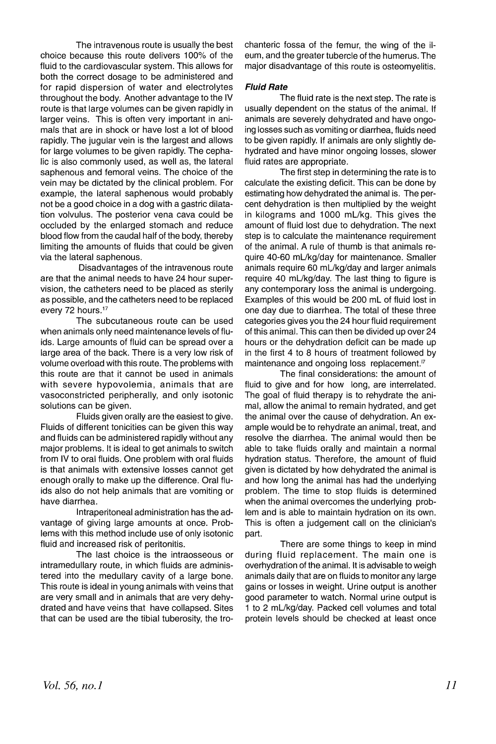The intravenous route is usually the best choice because this route delivers 100% of the fluid to the cardiovascular system. This allows for both the correct dosage to be administered and for rapid dispersion of water and electrolytes throughout the body. Another advantage to the IV route is that large volumes can be given rapidly in larger veins. This is often very important in animals that are in shock or have lost a lot of blood rapidly. The jugular vein is the largest and allows for large volumes to be given rapidly. The cephalic is also commonly used, as well as, the lateral saphenous and femoral veins. The choice of the vein may be dictated by the clinical problem. For example, the lateral saphenous would probably not be a good choice in a dog with a gastric dilatation volvulus. The posterior vena cava could be occluded by the enlarged stomach and reduce blood flow from the caudal half of the body, thereby limiting the amounts of fluids that could be given via the lateral saphenous.

Disadvantages of the intravenous route are that the animal needs to have 24 hour supervision, the catheters need to be placed as sterily as possible, and the catheters need to be replaced every 72 hours.<sup>17</sup>

The subcutaneous route can be used when animals only need maintenance levels of fluids. Large amounts of fluid can be spread over a large area of the back. There is a very low risk of volume overload with this route. The problems with this route are that it cannot be used in animals with severe hypovolemia, animals that are vasoconstricted peripherally, and only isotonic solutions can be given.

Fluids given orally are the easiest to give. Fluids of different tonicities can be given this way and fluids can be administered rapidly without any major problems. It is ideal to get animals to switch from IV to oral fluids. One problem with oral fluids is that animals with extensive losses cannot get enough orally to make up the difference. Oral fluids also do not help animals that are vomiting or have diarrhea.

Intraperitoneal administration has the advantage of giving large amounts at once. Problems with this method include use of only isotonic fluid and increased risk of peritonitis.

The last choice is the intraosseous or intramedullary route, in which fluids are administered into the medullary cavity of a large bone. This route is ideal in young animals with veins that are very small and in animals that are very dehydrated and have veins that have collapsed. Sites that can be used are the tibial tuberosity, the trochanteric fossa of the femur, the wing of the ileum, and the greater tubercle of the humerus. The major disadvantage of this route is osteomyelitis.

### **Fluid Rate**

The fluid rate is the next step. The rate is usually dependent on the status of the animal. If animals are severely dehydrated and have ongoing losses such as vomiting or diarrhea, fluids need to be given rapidly. If animals are only slightly dehydrated and have minor ongoing losses, slower fluid rates are appropriate.

The first step in determining the rate is to calculate the existing deficit. This can be done by estimating how dehydrated the animal is. The percent dehydration is then multiplied by the weight in kilograms and 1000 mL/kg. This gives the amount of fluid lost due to dehydration. The next step is to calculate the maintenance requirement of the animal. A rule of thumb is that animals require 40-60 mUkg/day for maintenance. Smaller animals require 60 mUkg/day and larger animals require 40 mUkg/day. The last thing to figure is any contemporary loss the animal is undergoing. Examples of this would be 200 mL of fluid lost in one day due to diarrhea. The total of these three categories gives you the 24 hour fluid requirement of this animal. This can then be divided up over 24 hours or the dehydration deficit can be made up in the first 4 to 8 hours of treatment followed by maintenance and ongoing loss replacement.<sup>17</sup>

The final considerations: the amount of fluid to give and for how long, are interrelated. The goal of fluid therapy is to rehydrate the animal, allow the animal to remain hydrated, and get the animal over the cause of dehydration. An example would be to rehydrate an animal, treat, and resolve the diarrhea. The animal would then be able to take fluids orally and maintain a normal hydration status. Therefore, the amount of fluid given is dictated by how dehydrated the animal is and how long the animal has had the underlying problem. The time to stop Huids is determined when the animal overcomes the underlying problem and is able to maintain hydration on its own. This is often a judgement call on the clinician's part.

There are some things to keep in mind during fluid replacement. The main one is overhydration of the animal. It is advisable to weigh animals daily that are on fluids to monitor any large gains or losses in weight. Urine output is another good parameter to watch. Normal urine output is 1 to 2 mUkg/day. Packed cell volumes and total protein levels should be checked at least once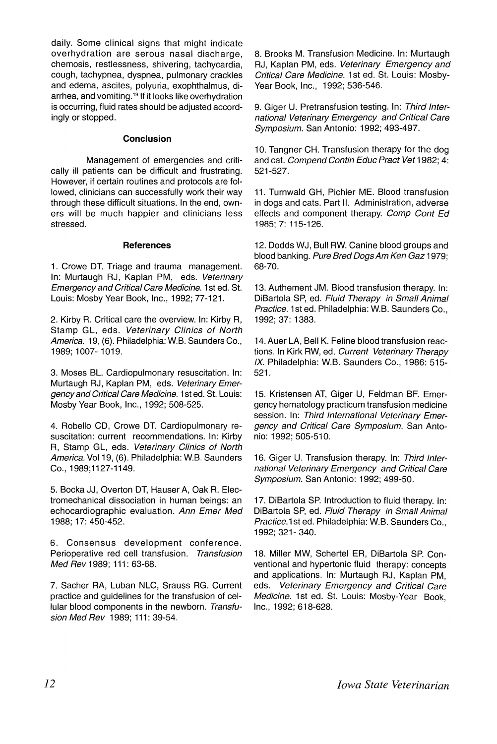daily. Some clinical signs that might indicate overhydration are serous nasal discharge, chemosis, restlessness, shivering, tachycardia, cough, tachypnea, dyspnea, pulmonary crackles and edema, ascites, polyuria, exophthalmus, diarrhea, and vomiting.<sup>19</sup> If it looks like overhydration is occurring, fluid rates should be adjusted accordingly or stopped.

### **Conclusion**

Management of emergencies and critically ill patients can be difficult and frustrating. However, if certain routines and protocols are followed, clinicians can successfully work their way through these difficult situations. In the end, owners will be much happier and clinicians less stressed.

#### **References**

1. Crowe DT. Triage and trauma management. In: Murtaugh RJ, Kaplan PM, eds. Veterinary Emergency and Critical Care Medicine. 1st ed. St. Louis: Mosby Year Book, Inc., 1992; 77-121.

2. Kirby R. Critical care the overview. In: Kirby R, Stamp GL, eds. Veterinary Clinics of North America. 19, (6). Philadelphia: W.B. Saunders Co., 1989; 1007- 1019.

3. Moses BL. Cardiopulmonary resuscitation. In: .Murtaugh RJ, Kaplan PM, eds. Veterinary Emergencyand Critical Care Medicine. 1st ed. St. Louis: Mosby Year Book, Inc., 1992; 508-525.

4. Robello CD, Crowe DT. Cardiopulmonary resuscitation: current recommendations. In: Kirby R, Stamp GL, eds. Veterinary Clinics of North America. Vol 19, (6). Philadelphia: W.B. Saunders Co., 1989;1127-1149.

5. Bocka JJ, Overton DT, Hauser A, Oak R. Electromechanical dissociation in human beings: an echocardiographic evaluation. Ann Emer Med 1988; 17: 450-452.

6. Consensus development conference. Perioperative red cell transfusion. Transfusion Med Rev 1989; 111: 63-68.

7. Sacher RA, Luban NLC, Srauss RG. Current practice and guidelines for the transfusion of cellular blood components in the newborn. Transfusion Med Rev 1989; 111: 39-54.

8. Brooks M. Transfusion Medicine. In: Murtaugh RJ, Kaplan PM, eds. Veterinary Emergency and Critical Care Medicine. 1st ed. St. Louis: Mosby-Year Book, Inc., 1992; 536-546.

9. Giger U. Pretransfusion testing. In: Third International Veterinary Emergency and Critical Care Symposium. San Antonio: 1992; 493-497.

10. Tangner CH. Transfusion therapy for the dog and cat. Compend Contin Educ Pract Vet 1982; 4: 521-527.

11. Turnwald GH, Pichler ME. Blood transfusion in dogs and cats. Part II. Administration, adverse effects and component therapy. Comp Cont Ed 1985: 7: 115-126.

12. Dodds WJ, Bull RW. Canine blood groups and blood banking. Pure Bred DogsAm Ken Gaz 1979; 68-70.

13. Authement JM. Blood transfusion therapy. In: DiBartola SP, ed. Fluid Therapy in Small Animal Practice. 1st ed. Philadelphia: W.B. Saunders Co., 1992; 37: 1383.

14. Auer LA, Bell K. Feline blood transfusion reactions. In Kirk RW, ed. Current Veterinary Therapy IX. Philadelphia: W.B. Saunders Co., 1986: 515- 521 .

15. Kristensen AT, Giger U, Feldman BF. Emergency hematology practicum transfusion medicine session. In: Third International Veterinary Emergency and Critical Care Symposium. San Antonio: 1992; 505-510.

16. Giger U. Transfusion therapy. In: Third International Veterinary Emergency and Critical Care Symposium. San Antonio: 1992; 499-50.

17. DiBartola SP. Introduction to fluid therapy. In: DiBartola SP, ed. Fluid Therapy in Small Animal Practice. 1st ed. Philadelphia: W.B. Saunders Co., 1992; 321- 340.

18. Miller MW, Schertel ER, DiBartola SP. Conventional and hypertonic fluid therapy: concepts and applications. In: Murtaugh RJ, Kaplan PM, eds. Veterinary Emergency and Critical Care Medicine. 1st ed. St. Louis: Mosby-Year Book, Inc., 1992; 618-628.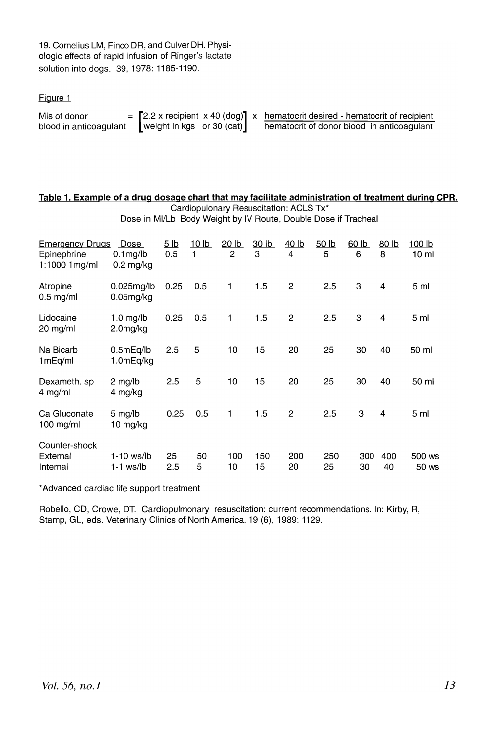19. Cornelius LM, Finco DR, and Culver DH. Physiologic effects of rapid infusion of Ringer's lactate solution into dogs. 39,1978: 1185-1190.

Figure 1

| MIs of donor           |                             |  | $=$ [2.2 x recipient x 40 (dog)] x hematocrit desired - hematocrit of recipient |
|------------------------|-----------------------------|--|---------------------------------------------------------------------------------|
| blood in anticoagulant | weight in kgs or 30 $(cat)$ |  | hematocrit of donor blood in anticoagulant                                      |

#### **Table 1. Example of a drug dosage chart that may facilitate administration of treatment during CPR.** Cardiopulonary Resuscitation: ACLS Tx\*

|                                                        | Dose in MI/Lb Body Weight by IV Route, Double Dose if Tracheal |                    |                   |                                |                       |                   |                   |           |                |                           |
|--------------------------------------------------------|----------------------------------------------------------------|--------------------|-------------------|--------------------------------|-----------------------|-------------------|-------------------|-----------|----------------|---------------------------|
| <b>Emergency Drugs</b><br>Epinephrine<br>1:1000 1 mg/m | Dose<br>$0.1$ mg/lb<br>$0.2 \text{ mg/kg}$                     | <u>5 lb</u><br>0.5 | <u>10 lb</u><br>1 | <u>20 lb</u><br>$\overline{c}$ | 30 <sub>lb</sub><br>3 | <u>40 lb</u><br>4 | <u>50 lb</u><br>5 | 60 b<br>6 | 80 lb<br>8     | 100 lb<br>10 <sub>m</sub> |
| Atropine<br>$0.5$ mg/ml                                | 0.025mg/lb<br>0.05 <sub>mg/kg</sub>                            | 0.25               | 0.5               | 1                              | 1.5                   | $\overline{2}$    | 2.5               | 3         | 4              | 5 <sub>ml</sub>           |
| Lidocaine<br>20 mg/ml                                  | $1.0 \text{ mg/lb}$<br>2.0mg/kg                                | 0.25               | 0.5               | 1                              | 1.5                   | $\overline{2}$    | 2.5               | 3         | 4              | 5 ml                      |
| Na Bicarb<br>1mEq/ml                                   | 0.5mEq/lb<br>1.0mEq/kg                                         | 2.5                | 5                 | 10                             | 15                    | 20                | 25                | 30        | 40             | 50 ml                     |
| Dexameth. sp<br>$4$ mg/ml                              | $2 \text{ mg/lb}$<br>4 mg/kg                                   | 2.5                | 5                 | 10                             | 15                    | 20                | 25                | 30        | 40             | 50 ml                     |
| Ca Gluconate<br>100 mg/ml                              | $5 \text{ mg/lb}$<br>10 mg/kg                                  | 0.25               | 0.5               | 1                              | 1.5                   | $\overline{2}$    | 2.5               | 3         | $\overline{4}$ | 5 <sub>m</sub>            |
| Counter-shock<br>External<br>Internal                  | 1-10 ws/lb<br>$1-1$ ws/lb                                      | 25<br>2.5          | 50<br>5           | 100<br>10                      | 150<br>15             | 200<br>20         | 250<br>25         | 300<br>30 | 400<br>40      | 500 ws<br>50 ws           |

\*Advanced cardiac life support treatment

Robello, CD, Crowe, DT. Cardiopulmonary resuscitation: current recommendations. In: Kirby, R, Stamp, GL, eds. Veterinary Clinics of North America. 19 (6), 1989: 1129.